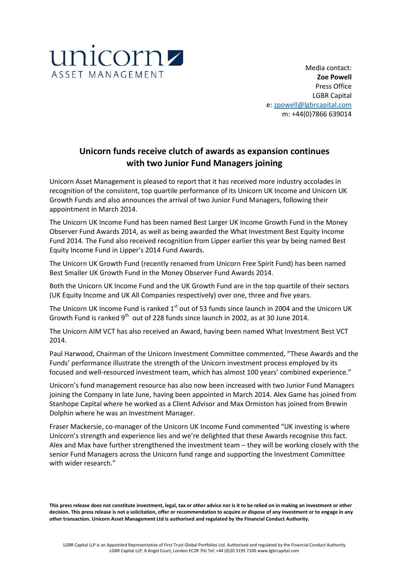

Media contact: **Zoe Powell** Press Office LGBR Capital e: [zpowell@lgbrcapital.com](mailto:zpowell@lgbrcapital.com) m: +44(0)7866 639014

# **Unicorn funds receive clutch of awards as expansion continues with two Junior Fund Managers joining**

Unicorn Asset Management is pleased to report that it has received more industry accolades in recognition of the consistent, top quartile performance of its Unicorn UK Income and Unicorn UK Growth Funds and also announces the arrival of two Junior Fund Managers, following their appointment in March 2014.

The Unicorn UK Income Fund has been named Best Larger UK Income Growth Fund in the Money Observer Fund Awards 2014, as well as being awarded the What Investment Best Equity Income Fund 2014. The Fund also received recognition from Lipper earlier this year by being named Best Equity Income Fund in Lipper's 2014 Fund Awards.

The Unicorn UK Growth Fund (recently renamed from Unicorn Free Spirit Fund) has been named Best Smaller UK Growth Fund in the Money Observer Fund Awards 2014.

Both the Unicorn UK Income Fund and the UK Growth Fund are in the top quartile of their sectors (UK Equity Income and UK All Companies respectively) over one, three and five years.

The Unicorn UK Income Fund is ranked  $1<sup>st</sup>$  out of 53 funds since launch in 2004 and the Unicorn UK Growth Fund is ranked  $9^{th}$  out of 228 funds since launch in 2002, as at 30 June 2014.

The Unicorn AIM VCT has also received an Award, having been named What Investment Best VCT 2014.

Paul Harwood, Chairman of the Unicorn Investment Committee commented, "These Awards and the Funds' performance illustrate the strength of the Unicorn investment process employed by its focused and well-resourced investment team, which has almost 100 years' combined experience."

Unicorn's fund management resource has also now been increased with two Junior Fund Managers joining the Company in late June, having been appointed in March 2014. Alex Game has joined from Stanhope Capital where he worked as a Client Advisor and Max Ormiston has joined from Brewin Dolphin where he was an Investment Manager.

Fraser Mackersie, co-manager of the Unicorn UK Income Fund commented "UK investing is where Unicorn's strength and experience lies and we're delighted that these Awards recognise this fact. Alex and Max have further strengthened the investment team – they will be working closely with the senior Fund Managers across the Unicorn fund range and supporting the Investment Committee with wider research."

**This press release does not constitute investment, legal, tax or other advice nor is it to be relied on in making an investment or other decision. This press release is not a solicitation, offer or recommendation to acquire or dispose of any investment or to engage in any other transaction. Unicorn Asset Management Ltd is authorised and regulated by the Financial Conduct Authority.**